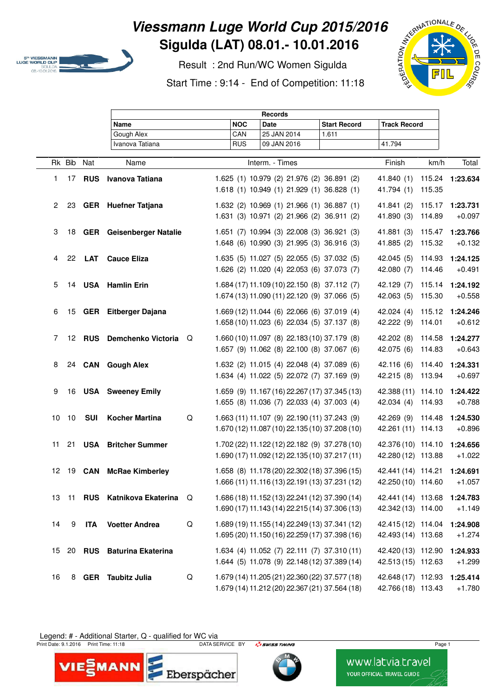

## **Viessmann Luge World Cup 2015/2016 Sigulda (LAT) 08.01.- 10.01.2016**

 Result : 2nd Run/WC Women Sigulda Start Time : 9:14 - End of Competition: 11:18



|                      |                 | <b>Records</b> |                                 |               |                           |             |        |                                                                                                |                                         |                  |                      |
|----------------------|-----------------|----------------|---------------------------------|---------------|---------------------------|-------------|--------|------------------------------------------------------------------------------------------------|-----------------------------------------|------------------|----------------------|
|                      |                 |                | Name                            |               | <b>NOC</b>                | <b>Date</b> |        | <b>Start Record</b>                                                                            | <b>Track Record</b>                     |                  |                      |
|                      |                 |                | Gough Alex                      |               | CAN                       | 25 JAN 2014 |        | 1.611                                                                                          |                                         |                  |                      |
|                      | Ivanova Tatiana |                |                                 |               | <b>RUS</b>                | 09 JAN 2016 | 41.794 |                                                                                                |                                         |                  |                      |
|                      | Rk Bib          | Nat            | Name                            |               | Interm. - Times<br>Finish |             |        |                                                                                                |                                         | km/h             | Total                |
| 1.                   | 17              |                | <b>RUS</b> Ivanova Tatiana      |               |                           |             |        | 1.625 (1) 10.979 (2) 21.976 (2) 36.891 (2)                                                     | 41.840 (1)                              |                  | 115.24 1:23.634      |
|                      |                 |                |                                 |               |                           |             |        | 1.618 (1) 10.949 (1) 21.929 (1) 36.828 (1)                                                     | 41.794 (1)                              | 115.35           |                      |
| $\mathbf{2}^{\circ}$ | 23              |                | <b>GER</b> Huefner Tatjana      |               |                           |             |        | 1.632 (2) 10.969 (1) 21.966 (1) 36.887 (1)                                                     | 41.841 (2)                              | 115.17           | 1:23.731             |
|                      |                 |                |                                 |               |                           |             |        | 1.631 (3) 10.971 (2) 21.966 (2) 36.911 (2)                                                     | 41.890 (3)                              | 114.89           | $+0.097$             |
| 3                    | 18              |                | <b>GER</b> Geisenberger Natalie |               |                           |             |        | 1.651 (7) 10.994 (3) 22.008 (3) 36.921 (3)                                                     | 41.881 (3)                              | 115.47           | 1:23.766             |
|                      |                 |                |                                 |               |                           |             |        | 1.648 (6) 10.990 (3) 21.995 (3) 36.916 (3)                                                     | 41.885 (2)                              | 115.32           | $+0.132$             |
| 4                    | 22              | <b>LAT</b>     | <b>Cauce Eliza</b>              |               |                           |             |        | 1.635 (5) 11.027 (5) 22.055 (5) 37.032 (5)                                                     | 42.045 (5)                              | 114.93           | 1:24.125             |
|                      |                 |                |                                 |               |                           |             |        | 1.626 (2) 11.020 (4) 22.053 (6) 37.073 (7)                                                     | 42.080 (7)                              | 114.46           | $+0.491$             |
| 5                    | 14              |                | <b>USA</b> Hamlin Erin          |               |                           |             |        | 1.684 (17) 11.109 (10) 22.150 (8) 37.112 (7)                                                   | 42.129 (7)                              | 115.14           | 1:24.192             |
|                      |                 |                |                                 |               |                           |             |        | 1.674 (13) 11.090 (11) 22.120 (9) 37.066 (5)                                                   | 42.063 (5)                              | 115.30           | $+0.558$             |
| 6                    | 15              |                | <b>GER</b> Eitberger Dajana     |               |                           |             |        | 1.669 (12) 11.044 (6) 22.066 (6) 37.019 (4)                                                    | 42.024(4)                               | 115.12           | 1:24.246             |
|                      |                 |                |                                 |               |                           |             |        | 1.658 (10) 11.023 (6) 22.034 (5) 37.137 (8)                                                    | 42.222 (9)                              | 114.01           | $+0.612$             |
| 7                    | 12 <sup>2</sup> |                | RUS Demchenko Victoria          | Q             |                           |             |        | 1.660 (10) 11.097 (8) 22.183 (10) 37.179 (8)                                                   | 42.202 (8)                              | 114.58           | 1:24.277             |
|                      |                 |                |                                 |               |                           |             |        | 1.657 (9) 11.062 (8) 22.100 (8) 37.067 (6)                                                     | 42.075 (6)                              | 114.83           | $+0.643$             |
| 8                    |                 |                | 24 CAN Gough Alex               |               |                           |             |        | 1.632 (2) 11.015 (4) 22.048 (4) 37.089 (6)<br>1.634 (4) 11.022 (5) 22.072 (7) 37.169 (9)       | 42.116(6)<br>42.215 (8)                 | 114.40<br>113.94 | 1:24.331<br>$+0.697$ |
|                      |                 |                |                                 |               |                           |             |        |                                                                                                |                                         |                  |                      |
| 9                    | 16              |                | <b>USA</b> Sweeney Emily        |               |                           |             |        | 1.659 (9) 11.167 (16) 22.267 (17) 37.345 (13)<br>1.655 (8) 11.036 (7) 22.033 (4) 37.003 (4)    | 42.388 (11) 114.10<br>42.034 (4)        | 114.93           | 1:24.422<br>$+0.788$ |
|                      |                 |                |                                 | $\mathsf Q$   |                           |             |        |                                                                                                |                                         |                  |                      |
| 10                   | 10              | <b>SUI</b>     | <b>Kocher Martina</b>           |               |                           |             |        | 1.663 (11) 11.107 (9) 22.190 (11) 37.243 (9)<br>1.670 (12) 11.087 (10) 22.135 (10) 37.208 (10) | 42.269 (9) 114.48<br>42.261 (11) 114.13 |                  | 1:24.530<br>$+0.896$ |
| 11                   | 21              |                | <b>USA</b> Britcher Summer      |               |                           |             |        | 1.702 (22) 11.122 (12) 22.182 (9) 37.278 (10)                                                  | 42.376 (10) 114.10                      |                  | 1:24.656             |
|                      |                 |                |                                 |               |                           |             |        | 1.690 (17) 11.092 (12) 22.135 (10) 37.217 (11)                                                 | 42.280 (12) 113.88                      |                  | $+1.022$             |
|                      |                 |                | 12 19 CAN McRae Kimberley       |               |                           |             |        | 1.658 (8) 11.178 (20) 22.302 (18) 37.396 (15)                                                  | 42.441 (14) 114.21                      |                  | 1:24.691             |
|                      |                 |                |                                 |               |                           |             |        | 1.666 (11) 11.116 (13) 22.191 (13) 37.231 (12)                                                 | 42.250 (10) 114.60                      |                  | $+1.057$             |
| 13                   | 11              |                | RUS Katnikova Ekaterina         | Q             |                           |             |        | 1.686 (18) 11.152 (13) 22.241 (12) 37.390 (14)                                                 | 42.441 (14) 113.68                      |                  | 1:24.783             |
|                      |                 |                |                                 |               |                           |             |        | 1.690 (17) 11.143 (14) 22.215 (14) 37.306 (13)                                                 | 42.342 (13) 114.00                      |                  | $+1.149$             |
| 14                   | 9               | <b>ITA</b>     | <b>Voetter Andrea</b>           | ${\mathsf Q}$ |                           |             |        | 1.689 (19) 11.155 (14) 22.249 (13) 37.341 (12)                                                 | 42.415 (12) 114.04                      |                  | 1:24.908             |
|                      |                 |                |                                 |               |                           |             |        | 1.695 (20) 11.150 (16) 22.259 (17) 37.398 (16)                                                 | 42.493 (14) 113.68                      |                  | $+1.274$             |
| 15                   | 20              | <b>RUS</b>     | <b>Baturina Ekaterina</b>       |               |                           |             |        | 1.634 (4) 11.052 (7) 22.111 (7) 37.310 (11)                                                    | 42.420 (13) 112.90                      |                  | 1:24.933             |
|                      |                 |                |                                 |               |                           |             |        | 1.644 (5) 11.078 (9) 22.148 (12) 37.389 (14)                                                   | 42.513 (15) 112.63                      |                  | $+1.299$             |
| 16                   | 8               |                | <b>GER</b> Taubitz Julia        | ${\mathsf Q}$ |                           |             |        | 1.679 (14) 11.205 (21) 22.360 (22) 37.577 (18)                                                 | 42.648 (17) 112.93                      |                  | 1:25.414             |
|                      |                 |                |                                 |               |                           |             |        | 1.679 (14) 11.212 (20) 22.367 (21) 37.564 (18)                                                 | 42.766 (18) 113.43                      |                  | $+1.780$             |

Legend: # - Additional Starter, Q - qualified for WC via rint D

Print Date: 9.1.2016 Print Time: 11:18 **Page 1 DATA SERVICE BY** *Print Service TIMING* Page 1





www.latvia.travel **YOUR OFFICIAL TRAVEL GUIDE**